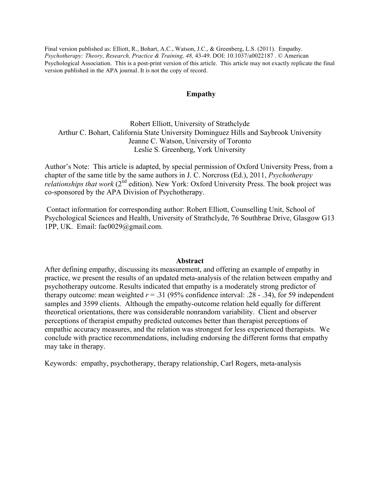Final version published as: Elliott, R., Bohart, A.C., Watson, J.C., & Greenberg, L.S. (2011). Empathy. *Psychotherapy: Theory, Research, Practice & Training, 48,* 43-49. DOI: 10.1037/a0022187 . © American Psychological Association. This is a post-print version of this article. This article may not exactly replicate the final version published in the APA journal. It is not the copy of record.

## **Empathy**

# Robert Elliott, University of Strathclyde Arthur C. Bohart, California State University Dominguez Hills and Saybrook University Jeanne C. Watson, University of Toronto Leslie S. Greenberg, York University

Author's Note: This article is adapted, by special permission of Oxford University Press, from a chapter of the same title by the same authors in J. C. Norcross (Ed.), 2011, *Psychotherapy relationships that work* (2<sup>nd</sup> edition). New York: Oxford University Press. The book project was co-sponsored by the APA Division of Psychotherapy.

Contact information for corresponding author: Robert Elliott, Counselling Unit, School of Psychological Sciences and Health, University of Strathclyde, 76 Southbrae Drive, Glasgow G13 1PP, UK. Email: fac0029@gmail.com.

#### **Abstract**

After defining empathy, discussing its measurement, and offering an example of empathy in practice, we present the results of an updated meta-analysis of the relation between empathy and psychotherapy outcome. Results indicated that empathy is a moderately strong predictor of therapy outcome: mean weighted  $r = .31$  (95% confidence interval: .28 - .34), for 59 independent samples and 3599 clients. Although the empathy-outcome relation held equally for different theoretical orientations, there was considerable nonrandom variability. Client and observer perceptions of therapist empathy predicted outcomes better than therapist perceptions of empathic accuracy measures, and the relation was strongest for less experienced therapists. We conclude with practice recommendations, including endorsing the different forms that empathy may take in therapy.

Keywords: empathy, psychotherapy, therapy relationship, Carl Rogers, meta-analysis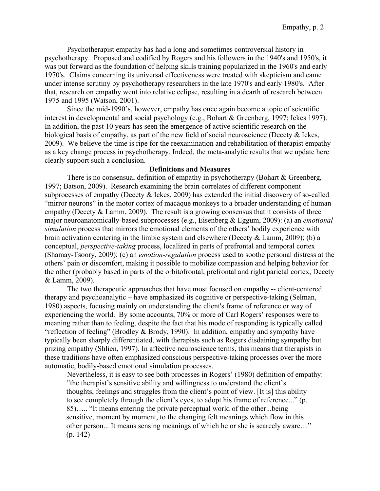Psychotherapist empathy has had a long and sometimes controversial history in psychotherapy. Proposed and codified by Rogers and his followers in the 1940's and 1950's, it was put forward as the foundation of helping skills training popularized in the 1960's and early 1970's. Claims concerning its universal effectiveness were treated with skepticism and came under intense scrutiny by psychotherapy researchers in the late 1970's and early 1980's. After that, research on empathy went into relative eclipse, resulting in a dearth of research between 1975 and 1995 (Watson, 2001).

Since the mid-1990's, however, empathy has once again become a topic of scientific interest in developmental and social psychology (e.g., Bohart & Greenberg, 1997; Ickes 1997). In addition, the past 10 years has seen the emergence of active scientific research on the biological basis of empathy, as part of the new field of social neuroscience (Decety & Ickes, 2009). We believe the time is ripe for the reexamination and rehabilitation of therapist empathy as a key change process in psychotherapy. Indeed, the meta-analytic results that we update here clearly support such a conclusion.

### **Definitions and Measures**

There is no consensual definition of empathy in psychotherapy (Bohart & Greenberg, 1997; Batson, 2009). Research examining the brain correlates of different component subprocesses of empathy (Decety & Ickes, 2009) has extended the initial discovery of so-called "mirror neurons" in the motor cortex of macaque monkeys to a broader understanding of human empathy (Decety & Lamm, 2009). The result is a growing consensus that it consists of three major neuroanatomically-based subprocesses (e.g., Eisenberg & Eggum, 2009): (a) an *emotional simulation* process that mirrors the emotional elements of the others' bodily experience with brain activation centering in the limbic system and elsewhere (Decety & Lamm, 2009); (b) a conceptual, *perspective-taking* process, localized in parts of prefrontal and temporal cortex (Shamay-Tsoory, 2009); (c) an *emotion-regulation* process used to soothe personal distress at the others' pain or discomfort, making it possible to mobilize compassion and helping behavior for the other (probably based in parts of the orbitofrontal, prefrontal and right parietal cortex, Decety & Lamm, 2009).

The two therapeutic approaches that have most focused on empathy -- client-centered therapy and psychoanalytic – have emphasized its cognitive or perspective-taking (Selman, 1980) aspects, focusing mainly on understanding the client's frame of reference or way of experiencing the world. By some accounts, 70% or more of Carl Rogers' responses were to meaning rather than to feeling, despite the fact that his mode of responding is typically called "reflection of feeling" (Brodley & Brody, 1990). In addition, empathy and sympathy have typically been sharply differentiated, with therapists such as Rogers disdaining sympathy but prizing empathy (Shlien, 1997). In affective neuroscience terms, this means that therapists in these traditions have often emphasized conscious perspective-taking processes over the more automatic, bodily-based emotional simulation processes.

Nevertheless, it is easy to see both processes in Rogers' (1980) definition of empathy: "the therapist's sensitive ability and willingness to understand the client's thoughts, feelings and struggles from the client's point of view. [It is] this ability to see completely through the client's eyes, to adopt his frame of reference..." (p. 85)….. "It means entering the private perceptual world of the other...being sensitive, moment by moment, to the changing felt meanings which flow in this other person... It means sensing meanings of which he or she is scarcely aware...." (p. 142)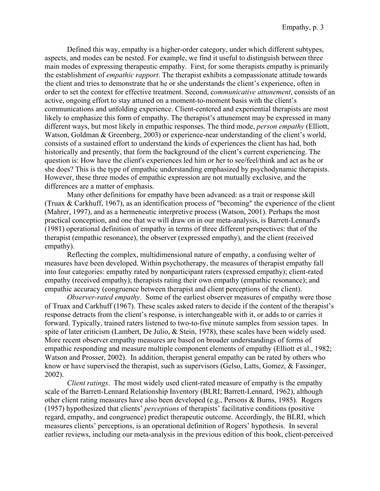Defined this way, empathy is a higher-order category, under which different subtypes, aspects, and modes can be nested. For example, we find it useful to distinguish between three main modes of expressing therapeutic empathy. First, for some therapists empathy is primarily the establishment of *empathic rapport*. The therapist exhibits a compassionate attitude towards the client and tries to demonstrate that he or she understands the client's experience, often in order to set the context for effective treatment. Second, c*ommunicative attunement*, consists of an active, ongoing effort to stay attuned on a moment-to-moment basis with the client's communications and unfolding experience. Client-centered and experiential therapists are most likely to emphasize this form of empathy. The therapist's attunement may be expressed in many different ways, but most likely in empathic responses. The third mode, *person empathy* (Elliott, Watson, Goldman & Greenberg, 2003) or experience-near understanding of the client's world, consists of a sustained effort to understand the kinds of experiences the client has had, both historically and presently, that form the background of the client's current experiencing. The question is: How have the client's experiences led him or her to see/feel/think and act as he or she does? This is the type of empathic understanding emphasized by psychodynamic therapists. However, these three modes of empathic expression are not mutually exclusive, and the differences are a matter of emphasis.

Many other definitions for empathy have been advanced: as a trait or response skill (Truax & Carkhuff, 1967), as an identification process of "becoming" the experience of the client (Mahrer, 1997), and as a hermeneutic interpretive process (Watson, 2001). Perhaps the most practical conception, and one that we will draw on in our meta-analysis, is Barrett-Lennard's (1981) operational definition of empathy in terms of three different perspectives: that of the therapist (empathic resonance), the observer (expressed empathy), and the client (received empathy).

Reflecting the complex, multidimensional nature of empathy, a confusing welter of measures have been developed. Within psychotherapy, the measures of therapist empathy fall into four categories: empathy rated by nonparticipant raters (expressed empathy); client-rated empathy (received empathy); therapists rating their own empathy (empathic resonance); and empathic accuracy (congruence between therapist and client perceptions of the client).

*Observer-rated empathy*. Some of the earliest observer measures of empathy were those of Truax and Carkhuff (1967). These scales asked raters to decide if the content of the therapist's response detracts from the client's response, is interchangeable with it, or adds to or carries it forward. Typically, trained raters listened to two-to-five minute samples from session tapes. In spite of later criticism (Lambert, De Julio, & Stein, 1978), these scales have been widely used. More recent observer empathy measures are based on broader understandings of forms of empathic responding and measure multiple component elements of empathy (Elliott et al., 1982; Watson and Prosser, 2002). In addition, therapist general empathy can be rated by others who know or have supervised the therapist, such as supervisors (Gelso, Latts, Gomez, & Fassinger, 2002).

*Client ratings*. The most widely used client-rated measure of empathy is the empathy scale of the Barrett-Lennard Relationship Inventory (BLRI; Barrett-Lennard, 1962), although other client rating measures have also been developed (e.g., Persons & Burns, 1985). Rogers (1957) hypothesized that clients' *perceptions* of therapists' facilitative conditions (positive regard, empathy, and congruence) predict therapeutic outcome. Accordingly, the BLRI, which measures clients' perceptions, is an operational definition of Rogers' hypothesis. In several earlier reviews, including our meta-analysis in the previous edition of this book, client-perceived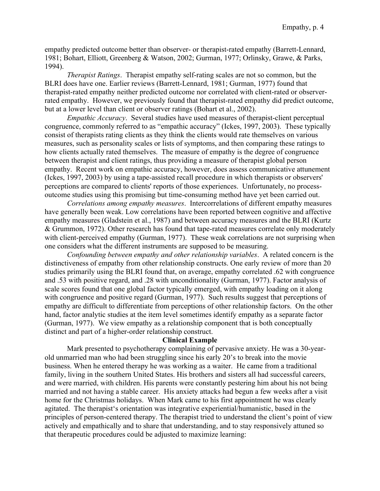empathy predicted outcome better than observer- or therapist-rated empathy (Barrett-Lennard, 1981; Bohart, Elliott, Greenberg & Watson, 2002; Gurman, 1977; Orlinsky, Grawe, & Parks, 1994).

*Therapist Ratings*. Therapist empathy self-rating scales are not so common, but the BLRI does have one. Earlier reviews (Barrett-Lennard, 1981; Gurman, 1977) found that therapist-rated empathy neither predicted outcome nor correlated with client-rated or observerrated empathy. However, we previously found that therapist-rated empathy did predict outcome, but at a lower level than client or observer ratings (Bohart et al., 2002).

*Empathic Accuracy*. Several studies have used measures of therapist-client perceptual congruence, commonly referred to as "empathic accuracy" (Ickes, 1997, 2003). These typically consist of therapists rating clients as they think the clients would rate themselves on various measures, such as personality scales or lists of symptoms, and then comparing these ratings to how clients actually rated themselves. The measure of empathy is the degree of congruence between therapist and client ratings, thus providing a measure of therapist global person empathy. Recent work on empathic accuracy, however, does assess communicative attunement (Ickes, 1997, 2003) by using a tape-assisted recall procedure in which therapists or observers' perceptions are compared to clients' reports of those experiences. Unfortunately, no processoutcome studies using this promising but time-consuming method have yet been carried out.

*Correlations among empathy measures*. Intercorrelations of different empathy measures have generally been weak. Low correlations have been reported between cognitive and affective empathy measures (Gladstein et al., 1987) and between accuracy measures and the BLRI (Kurtz & Grummon, 1972). Other research has found that tape-rated measures correlate only moderately with client-perceived empathy (Gurman, 1977). These weak correlations are not surprising when one considers what the different instruments are supposed to be measuring.

*Confounding between empathy and other relationship variables*. A related concern is the distinctiveness of empathy from other relationship constructs. One early review of more than 20 studies primarily using the BLRI found that, on average, empathy correlated .62 with congruence and .53 with positive regard, and .28 with unconditionality (Gurman, 1977). Factor analysis of scale scores found that one global factor typically emerged, with empathy loading on it along with congruence and positive regard (Gurman, 1977). Such results suggest that perceptions of empathy are difficult to differentiate from perceptions of other relationship factors. On the other hand, factor analytic studies at the item level sometimes identify empathy as a separate factor (Gurman, 1977). We view empathy as a relationship component that is both conceptually distinct and part of a higher-order relationship construct.

#### **Clinical Example**

Mark presented to psychotherapy complaining of pervasive anxiety. He was a 30-yearold unmarried man who had been struggling since his early 20's to break into the movie business. When he entered therapy he was working as a waiter. He came from a traditional family, living in the southern United States. His brothers and sisters all had successful careers, and were married, with children. His parents were constantly pestering him about his not being married and not having a stable career. His anxiety attacks had begun a few weeks after a visit home for the Christmas holidays. When Mark came to his first appointment he was clearly agitated. The therapist's orientation was integrative experiential/humanistic, based in the principles of person-centered therapy. The therapist tried to understand the client's point of view actively and empathically and to share that understanding, and to stay responsively attuned so that therapeutic procedures could be adjusted to maximize learning: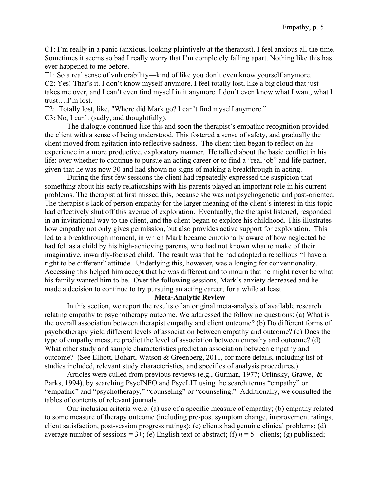C1: I'm really in a panic (anxious, looking plaintively at the therapist). I feel anxious all the time. Sometimes it seems so bad I really worry that I'm completely falling apart. Nothing like this has ever happened to me before.

T1: So a real sense of vulnerability—kind of like you don't even know yourself anymore. C2: Yes! That's it. I don't know myself anymore. I feel totally lost, like a big cloud that just takes me over, and I can't even find myself in it anymore. I don't even know what I want, what I trust….I'm lost.

T2: Totally lost, like, "Where did Mark go? I can't find myself anymore."

C3: No, I can't (sadly, and thoughtfully).

The dialogue continued like this and soon the therapist's empathic recognition provided the client with a sense of being understood. This fostered a sense of safety, and gradually the client moved from agitation into reflective sadness. The client then began to reflect on his experience in a more productive, exploratory manner. He talked about the basic conflict in his life: over whether to continue to pursue an acting career or to find a "real job" and life partner, given that he was now 30 and had shown no signs of making a breakthrough in acting.

During the first few sessions the client had repeatedly expressed the suspicion that something about his early relationships with his parents played an important role in his current problems. The therapist at first missed this, because she was not psychogenetic and past-oriented. The therapist's lack of person empathy for the larger meaning of the client's interest in this topic had effectively shut off this avenue of exploration. Eventually, the therapist listened, responded in an invitational way to the client, and the client began to explore his childhood. This illustrates how empathy not only gives permission, but also provides active support for exploration. This led to a breakthrough moment, in which Mark became emotionally aware of how neglected he had felt as a child by his high-achieving parents, who had not known what to make of their imaginative, inwardly-focused child. The result was that he had adopted a rebellious "I have a right to be different" attitude. Underlying this, however, was a longing for conventionality. Accessing this helped him accept that he was different and to mourn that he might never be what his family wanted him to be. Over the following sessions, Mark's anxiety decreased and he made a decision to continue to try pursuing an acting career, for a while at least.

## **Meta-Analytic Review**

In this section, we report the results of an original meta-analysis of available research relating empathy to psychotherapy outcome. We addressed the following questions: (a) What is the overall association between therapist empathy and client outcome? (b) Do different forms of psychotherapy yield different levels of association between empathy and outcome? (c) Does the type of empathy measure predict the level of association between empathy and outcome? (d) What other study and sample characteristics predict an association between empathy and outcome? (See Elliott, Bohart, Watson & Greenberg, 2011, for more details, including list of studies included, relevant study characteristics, and specifics of analysis procedures.)

Articles were culled from previous reviews (e.g., Gurman, 1977; Orlinsky, Grawe, & Parks, 1994), by searching PsycINFO and PsycLIT using the search terms "empathy" or "empathic" and "psychotherapy," "counseling" or "counseling." Additionally, we consulted the tables of contents of relevant journals*.*

Our inclusion criteria were: (a) use of a specific measure of empathy; (b) empathy related to some measure of therapy outcome (including pre-post symptom change, improvement ratings, client satisfaction, post-session progress ratings); (c) clients had genuine clinical problems; (d) average number of sessions =  $3+$ ; (e) English text or abstract; (f)  $n = 5+$  clients; (g) published;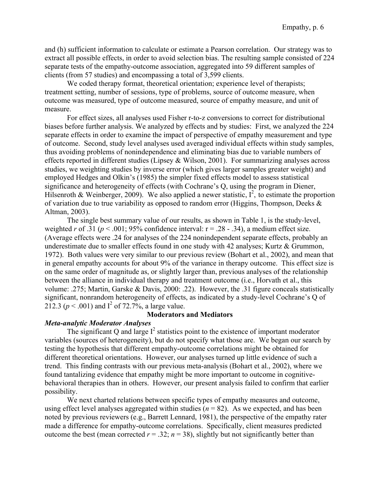and (h) sufficient information to calculate or estimate a Pearson correlation. Our strategy was to extract all possible effects, in order to avoid selection bias. The resulting sample consisted of 224 separate tests of the empathy-outcome association, aggregated into 59 different samples of clients (from 57 studies) and encompassing a total of 3,599 clients.

We coded therapy format, theoretical orientation; experience level of therapists; treatment setting, number of sessions, type of problems, source of outcome measure, when outcome was measured, type of outcome measured, source of empathy measure, and unit of measure.

For effect sizes, all analyses used Fisher r-to-z conversions to correct for distributional biases before further analysis. We analyzed by effects and by studies: First, we analyzed the 224 separate effects in order to examine the impact of perspective of empathy measurement and type of outcome. Second, study level analyses used averaged individual effects within study samples, thus avoiding problems of nonindependence and eliminating bias due to variable numbers of effects reported in different studies (Lipsey & Wilson, 2001). For summarizing analyses across studies, we weighting studies by inverse error (which gives larger samples greater weight) and employed Hedges and Olkin's (1985) the simpler fixed effects model to assess statistical significance and heterogeneity of effects (with Cochrane's Q, using the program in Diener, Hilsenroth & Weinberger, 2009). We also applied a newer statistic,  $I^2$ , to estimate the proportion of variation due to true variability as opposed to random error (Higgins, Thompson, Deeks  $\&$ Altman, 2003).

The single best summary value of our results, as shown in Table 1, is the study-level, weighted *r* of .31 ( $p < .001$ ; 95% confidence interval:  $r = .28 - .34$ ), a medium effect size. (Average effects were .24 for analyses of the 224 nonindependent separate effects, probably an underestimate due to smaller effects found in one study with 42 analyses; Kurtz  $\&$  Grummon, 1972). Both values were very similar to our previous review (Bohart et al., 2002), and mean that in general empathy accounts for about 9% of the variance in therapy outcome. This effect size is on the same order of magnitude as, or slightly larger than, previous analyses of the relationship between the alliance in individual therapy and treatment outcome (i.e., Horvath et al., this volume: .275; Martin, Garske & Davis, 2000: .22). However, the .31 figure conceals statistically significant, nonrandom heterogeneity of effects, as indicated by a study-level Cochrane's Q of 212.3 ( $p < .001$ ) and  $I^2$  of 72.7%, a large value.

# **Moderators and Mediators**

### *Meta-analytic Moderator Analyses*

The significant O and large  $I^2$  statistics point to the existence of important moderator variables (sources of heterogeneity), but do not specify what those are. We began our search by testing the hypothesis that different empathy-outcome correlations might be obtained for different theoretical orientations. However, our analyses turned up little evidence of such a trend. This finding contrasts with our previous meta-analysis (Bohart et al., 2002), where we found tantalizing evidence that empathy might be more important to outcome in cognitivebehavioral therapies than in others. However, our present analysis failed to confirm that earlier possibility.

We next charted relations between specific types of empathy measures and outcome, using effect level analyses aggregated within studies  $(n = 82)$ . As we expected, and has been noted by previous reviewers (e.g., Barrett Lennard, 1981), the perspective of the empathy rater made a difference for empathy-outcome correlations. Specifically, client measures predicted outcome the best (mean corrected  $r = .32$ ;  $n = 38$ ), slightly but not significantly better than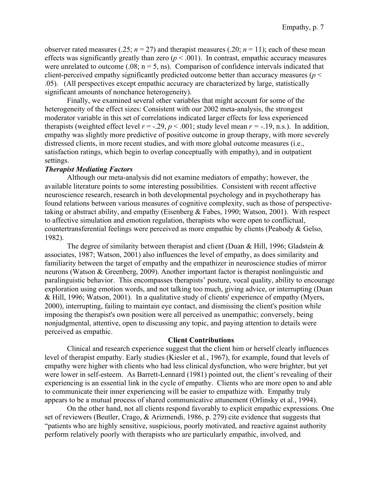observer rated measures (.25;  $n = 27$ ) and therapist measures (.20;  $n = 11$ ); each of these mean effects was significantly greatly than zero  $(p < .001)$ . In contrast, empathic accuracy measures were unrelated to outcome  $(.08; n = 5, ns)$ . Comparison of confidence intervals indicated that client-perceived empathy significantly predicted outcome better than accuracy measures ( $p <$ .05). (All perspectives except empathic accuracy are characterized by large, statistically significant amounts of nonchance heterogeneity).

Finally, we examined several other variables that might account for some of the heterogeneity of the effect sizes: Consistent with our 2002 meta-analysis, the strongest moderator variable in this set of correlations indicated larger effects for less experienced therapists (weighted effect level  $r = -0.29$ ,  $p < 0.001$ ; study level mean  $r = -0.19$ , n.s.). In addition, empathy was slightly more predictive of positive outcome in group therapy, with more severely distressed clients, in more recent studies, and with more global outcome measures (i.e., satisfaction ratings, which begin to overlap conceptually with empathy), and in outpatient settings.

# *Therapist Mediating Factors*

Although our meta-analysis did not examine mediators of empathy; however, the available literature points to some interesting possibilities. Consistent with recent affective neuroscience research, research in both developmental psychology and in psychotherapy has found relations between various measures of cognitive complexity, such as those of perspectivetaking or abstract ability, and empathy (Eisenberg & Fabes, 1990; Watson, 2001). With respect to affective simulation and emotion regulation, therapists who were open to conflictual, countertransferential feelings were perceived as more empathic by clients (Peabody & Gelso, 1982).

The degree of similarity between therapist and client (Duan  $&$  Hill, 1996; Gladstein  $&$ associates, 1987; Watson, 2001) also influences the level of empathy, as does similarity and familiarity between the target of empathy and the empathizer in neuroscience studies of mirror neurons (Watson & Greenberg, 2009). Another important factor is therapist nonlinguistic and paralinguistic behavior. This encompasses therapists' posture, vocal quality, ability to encourage exploration using emotion words, and not talking too much, giving advice, or interrupting (Duan & Hill, 1996; Watson, 2001). In a qualitative study of clients' experience of empathy (Myers, 2000), interrupting, failing to maintain eye contact, and dismissing the client's position while imposing the therapist's own position were all perceived as unempathic; conversely, being nonjudgmental, attentive, open to discussing any topic, and paying attention to details were perceived as empathic.

#### **Client Contributions**

Clinical and research experience suggest that the client him or herself clearly influences level of therapist empathy. Early studies (Kiesler et al., 1967), for example, found that levels of empathy were higher with clients who had less clinical dysfunction, who were brighter, but yet were lower in self-esteem. As Barrett-Lennard (1981) pointed out, the client's revealing of their experiencing is an essential link in the cycle of empathy. Clients who are more open to and able to communicate their inner experiencing will be easier to empathize with. Empathy truly appears to be a mutual process of shared communicative attunement (Orlinsky et al., 1994).

On the other hand, not all clients respond favorably to explicit empathic expressions. One set of reviewers (Beutler, Crago, & Arizmendi, 1986, p. 279) cite evidence that suggests that "patients who are highly sensitive, suspicious, poorly motivated, and reactive against authority perform relatively poorly with therapists who are particularly empathic, involved, and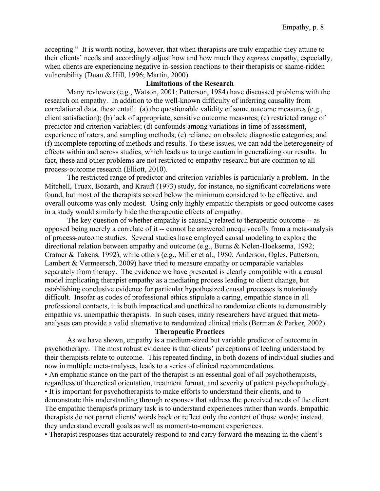accepting." It is worth noting, however, that when therapists are truly empathic they attune to their clients' needs and accordingly adjust how and how much they *express* empathy, especially, when clients are experiencing negative in-session reactions to their therapists or shame-ridden vulnerability (Duan & Hill, 1996; Martin, 2000).

# **Limitations of the Research**

Many reviewers (e.g., Watson, 2001; Patterson, 1984) have discussed problems with the research on empathy. In addition to the well-known difficulty of inferring causality from correlational data, these entail: (a) the questionable validity of some outcome measures (e.g., client satisfaction); (b) lack of appropriate, sensitive outcome measures; (c) restricted range of predictor and criterion variables; (d) confounds among variations in time of assessment, experience of raters, and sampling methods; (e) reliance on obsolete diagnostic categories; and (f) incomplete reporting of methods and results. To these issues, we can add the heterogeneity of effects within and across studies, which leads us to urge caution in generalizing our results. In fact, these and other problems are not restricted to empathy research but are common to all process-outcome research (Elliott, 2010).

The restricted range of predictor and criterion variables is particularly a problem. In the Mitchell, Truax, Bozarth, and Krauft (1973) study, for instance, no significant correlations were found, but most of the therapists scored below the minimum considered to be effective, and overall outcome was only modest. Using only highly empathic therapists or good outcome cases in a study would similarly hide the therapeutic effects of empathy.

The key question of whether empathy is causally related to therapeutic outcome -- as opposed being merely a correlate of it -- cannot be answered unequivocally from a meta-analysis of process-outcome studies. Several studies have employed causal modeling to explore the directional relation between empathy and outcome (e.g., Burns & Nolen-Hoeksema, 1992; Cramer & Takens, 1992), while others (e.g., Miller et al., 1980; Anderson, Ogles, Patterson, Lambert & Vermeersch, 2009) have tried to measure empathy or comparable variables separately from therapy. The evidence we have presented is clearly compatible with a causal model implicating therapist empathy as a mediating process leading to client change, but establishing conclusive evidence for particular hypothesized causal processes is notoriously difficult. Insofar as codes of professional ethics stipulate a caring, empathic stance in all professional contacts, it is both impractical and unethical to randomize clients to demonstrably empathic vs. unempathic therapists. In such cases, many researchers have argued that metaanalyses can provide a valid alternative to randomized clinical trials (Berman & Parker, 2002).

#### **Therapeutic Practices**

As we have shown, empathy is a medium-sized but variable predictor of outcome in psychotherapy. The most robust evidence is that clients' perceptions of feeling understood by their therapists relate to outcome. This repeated finding, in both dozens of individual studies and now in multiple meta-analyses, leads to a series of clinical recommendations.

• An emphatic stance on the part of the therapist is an essential goal of all psychotherapists, regardless of theoretical orientation, treatment format, and severity of patient psychopathology. • It is important for psychotherapists to make efforts to understand their clients, and to demonstrate this understanding through responses that address the perceived needs of the client. The empathic therapist's primary task is to understand experiences rather than words. Empathic therapists do not parrot clients' words back or reflect only the content of those words; instead, they understand overall goals as well as moment-to-moment experiences.

• Therapist responses that accurately respond to and carry forward the meaning in the client's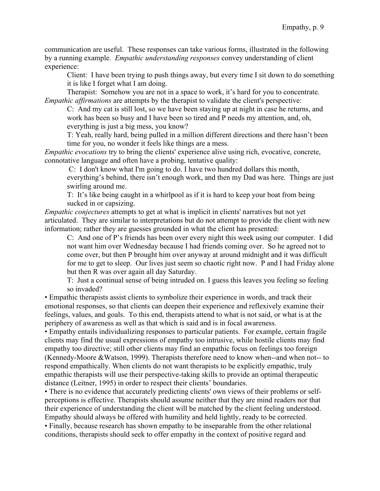communication are useful. These responses can take various forms, illustrated in the following by a running example. *Empathic understanding responses* convey understanding of client experience:

Client: I have been trying to push things away, but every time I sit down to do something it is like I forget what I am doing.

Therapist: Somehow you are not in a space to work, it's hard for you to concentrate. *Empathic affirmations* are attempts by the therapist to validate the client's perspective:

C: And my cat is still lost, so we have been staying up at night in case he returns, and work has been so busy and I have been so tired and P needs my attention, and, oh, everything is just a big mess, you know?

T: Yeah, really hard, being pulled in a million different directions and there hasn't been time for you, no wonder it feels like things are a mess.

*Empathic evocations* try to bring the clients' experience alive using rich, evocative, concrete, connotative language and often have a probing, tentative quality:

C: I don't know what I'm going to do. I have two hundred dollars this month, everything's behind, there isn't enough work, and then my Dad was here. Things are just swirling around me.

T: It's like being caught in a whirlpool as if it is hard to keep your boat from being sucked in or capsizing.

*Empathic conjectures* attempts to get at what is implicit in clients' narratives but not yet articulated. They are similar to interpretations but do not attempt to provide the client with new information; rather they are guesses grounded in what the client has presented:

C: And one of P's friends has been over every night this week using our computer. I did not want him over Wednesday because I had friends coming over. So he agreed not to come over, but then P brought him over anyway at around midnight and it was difficult for me to get to sleep. Our lives just seem so chaotic right now. P and I had Friday alone but then R was over again all day Saturday.

T: Just a continual sense of being intruded on. I guess this leaves you feeling so feeling so invaded?

• Empathic therapists assist clients to symbolize their experience in words, and track their emotional responses, so that clients can deepen their experience and reflexively examine their feelings, values, and goals. To this end, therapists attend to what is not said, or what is at the periphery of awareness as well as that which is said and is in focal awareness.

• Empathy entails individualizing responses to particular patients. For example, certain fragile clients may find the usual expressions of empathy too intrusive, while hostile clients may find empathy too directive; still other clients may find an empathic focus on feelings too foreign (Kennedy-Moore &Watson, 1999). Therapists therefore need to know when--and when not-- to respond empathically. When clients do not want therapists to be explicitly empathic, truly empathic therapists will use their perspective-taking skills to provide an optimal therapeutic distance (Leitner, 1995) in order to respect their clients' boundaries.

• There is no evidence that accurately predicting clients' own views of their problems or selfperceptions is effective. Therapists should assume neither that they are mind readers nor that their experience of understanding the client will be matched by the client feeling understood. Empathy should always be offered with humility and held lightly, ready to be corrected.

• Finally, because research has shown empathy to be inseparable from the other relational conditions, therapists should seek to offer empathy in the context of positive regard and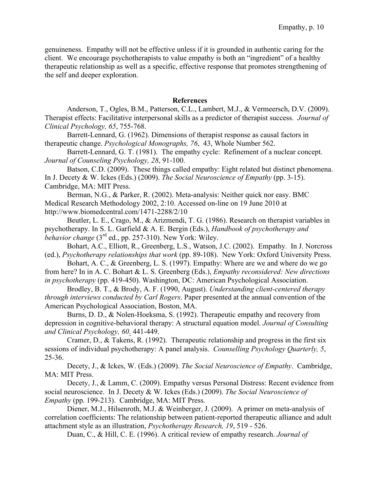genuineness. Empathy will not be effective unless if it is grounded in authentic caring for the client. We encourage psychotherapists to value empathy is both an "ingredient" of a healthy therapeutic relationship as well as a specific, effective response that promotes strengthening of the self and deeper exploration.

## **References**

Anderson, T., Ogles, B.M., Patterson, C.L., Lambert, M.J., & Vermeersch, D.V. (2009). Therapist effects: Facilitative interpersonal skills as a predictor of therapist success. *Journal of Clinical Psychology, 65*, 755-768.

Barrett-Lennard, G. (1962). Dimensions of therapist response as causal factors in therapeutic change. *Psychological Monographs, 76*, 43, Whole Number 562.

Barrett-Lennard, G. T. (1981). The empathy cycle: Refinement of a nuclear concept. *Journal of Counseling Psychology, 28*, 91-100.

Batson, C.D. (2009). These things called empathy: Eight related but distinct phenomena. In J. Decety & W. Ickes (Eds.) (2009). *The Social Neuroscience of Empathy* (pp. 3-15). Cambridge, MA: MIT Press.

Berman, N.G., & Parker, R. (2002). Meta-analysis: Neither quick nor easy. BMC Medical Research Methodology 2002, 2:10. Accessed on-line on 19 June 2010 at http://www.biomedcentral.com/1471-2288/2/10

Beutler, L. E., Crago, M., & Arizmendi, T. G. (1986). Research on therapist variables in psychotherapy. In S. L. Garfield & A. E. Bergin (Eds.), *Handbook of psychotherapy and behavior change* (3rd ed., pp. 257-310). New York: Wiley.

Bohart, A.C., Elliott, R., Greenberg, L.S., Watson, J.C. (2002). Empathy. In J. Norcross (ed.), *Psychotherapy relationships that work* (pp. 89-108). New York: Oxford University Press.

Bohart, A. C., & Greenberg, L. S. (1997). Empathy: Where are we and where do we go from here? In in A. C. Bohart & L. S. Greenberg (Eds.), *Empathy reconsidered: New directions in psychotherapy* (pp. 419-450). Washington, DC: American Psychological Association.

Brodley, B. T., & Brody, A. F. (1990, August). *Understanding client-centered therapy through interviews conducted by Carl Rogers*. Paper presented at the annual convention of the American Psychological Association, Boston, MA.

Burns, D. D., & Nolen-Hoeksma, S. (1992). Therapeutic empathy and recovery from depression in cognitive-behavioral therapy: A structural equation model. *Journal of Consulting and Clinical Psychology, 60*. 441-449.

Cramer, D., & Takens, R. (1992). Therapeutic relationship and progress in the first six sessions of individual psychotherapy: A panel analysis. *Counselling Psychology Quarterly, 5*, 25-36.

Decety, J., & Ickes, W. (Eds.) (2009). *The Social Neuroscience of Empathy*. Cambridge, MA: MIT Press.

Decety, J., & Lamm, C. (2009). Empathy versus Personal Distress: Recent evidence from social neuroscience. In J. Decety & W. Ickes (Eds.) (2009). *The Social Neuroscience of Empathy* (pp. 199-213). Cambridge, MA: MIT Press.

Diener, M.J., Hilsenroth, M.J. & Weinberger, J. (2009). A primer on meta-analysis of correlation coefficients: The relationship between patient-reported therapeutic alliance and adult attachment style as an illustration, *Psychotherapy Research, 19*, 519 - 526.

Duan, C., & Hill, C. E. (1996). A critical review of empathy research. *Journal of*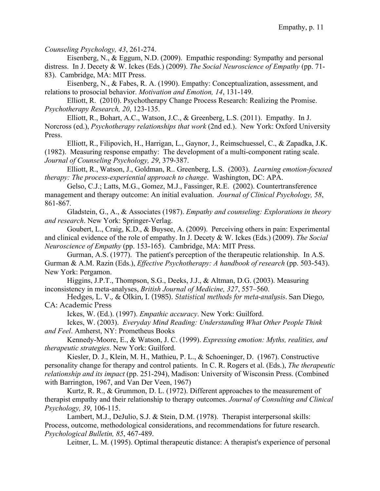*Counseling Psychology, 43*, 261-274.

Eisenberg, N., & Eggum, N.D. (2009). Empathic responding: Sympathy and personal distress. In J. Decety & W. Ickes (Eds.) (2009). *The Social Neuroscience of Empathy* (pp. 71- 83). Cambridge, MA: MIT Press.

Eisenberg, N., & Fabes, R. A. (1990). Empathy: Conceptualization, assessment, and relations to prosocial behavior. *Motivation and Emotion, 14*, 131-149.

Elliott, R. (2010). Psychotherapy Change Process Research: Realizing the Promise. *Psychotherapy Research, 20*, 123-135.

Elliott, R., Bohart, A.C., Watson, J.C., & Greenberg, L.S. (2011). Empathy. In J. Norcross (ed.), *Psychotherapy relationships that work* (2nd ed.). New York: Oxford University Press.

Elliott, R., Filipovich, H., Harrigan, L., Gaynor, J., Reimschuessel, C., & Zapadka, J.K. (1982). Measuring response empathy: The development of a multi-component rating scale. *Journal of Counseling Psychology, 29*, 379-387.

Elliott, R., Watson, J., Goldman, R.. Greenberg, L.S. (2003). *Learning emotion-focused therapy: The process-experiential approach to change*. Washington, DC: APA.

Gelso, C.J.; Latts, M.G., Gomez, M.J., Fassinger, R.E. (2002). Countertransference management and therapy outcome: An initial evaluation. *Journal of Clinical Psychology, 58*, 861-867.

Gladstein, G., A., & Associates (1987). *Empathy and counseling: Explorations in theory and research*. New York: Springer-Verlag.

Goubert, L., Craig, K.D., & Buysee, A. (2009). Perceiving others in pain: Experimental and clinical evidence of the role of empathy. In J. Decety & W. Ickes (Eds.) (2009). *The Social Neuroscience of Empathy* (pp. 153-165). Cambridge, MA: MIT Press.

Gurman, A.S. (1977). The patient's perception of the therapeutic relationship. In A.S. Gurman & A.M. Razin (Eds.), *Effective Psychotherapy: A handbook of research* (pp. 503-543). New York: Pergamon.

Higgins, J.P.T., Thompson, S.G., Deeks, J.J., & Altman, D.G. (2003). Measuring inconsistency in meta-analyses, *British Journal of Medicine, 327*, 557–560.

Hedges, L. V., & Olkin, I. (1985). *Statistical methods for meta-analysis*. San Diego, CA: Academic Press

Ickes, W. (Ed.). (1997). *Empathic accuracy*. New York: Guilford.

Ickes, W. (2003). *Everyday Mind Reading: Understanding What Other People Think and Feel*. Amherst, NY: Prometheus Books

Kennedy-Moore, E., & Watson, J. C. (1999). *Expressing emotion: Myths, realities, and therapeutic strategies*. New York: Guilford.

Kiesler, D. J., Klein, M. H., Mathieu, P. L., & Schoeninger, D. (1967). Constructive personality change for therapy and control patients. In C. R. Rogers et al. (Eds.), *The therapeutic relationship and its impact* (pp. 251-294), Madison: University of Wisconsin Press. (Combined with Barrington, 1967, and Van Der Veen, 1967)

Kurtz, R. R., & Grummon, D. L. (1972). Different approaches to the measurement of therapist empathy and their relationship to therapy outcomes. *Journal of Consulting and Clinical Psychology, 39*, 106-115.

Lambert, M.J., DeJulio, S.J. & Stein, D.M. (1978). Therapist interpersonal skills: Process, outcome, methodological considerations, and recommendations for future research. *Psychological Bulletin, 85*, 467-489.

Leitner, L. M. (1995). Optimal therapeutic distance: A therapist's experience of personal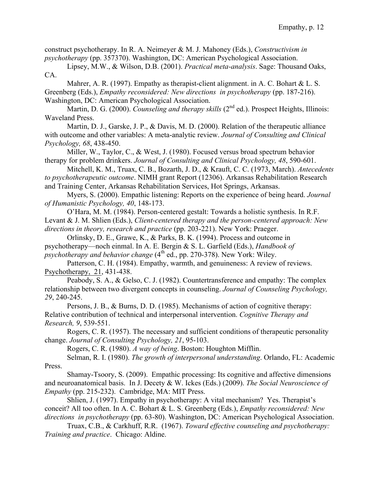construct psychotherapy. In R. A. Neimeyer & M. J. Mahoney (Eds.), *Constructivism in psychotherapy* (pp. 357370). Washington, DC: American Psychological Association.

Lipsey, M.W., & Wilson, D.B. (2001). *Practical meta-analysis*. Sage: Thousand Oaks, CA.

Mahrer, A. R. (1997). Empathy as therapist-client alignment. in A. C. Bohart  $&L.S.$ Greenberg (Eds.), *Empathy reconsidered: New directions in psychotherapy* (pp. 187-216). Washington, DC: American Psychological Association.

Martin, D. G. (2000). *Counseling and therapy skills* (2<sup>nd</sup> ed.). Prospect Heights, Illinois: Waveland Press.

Martin, D. J., Garske, J. P., & Davis, M. D. (2000). Relation of the therapeutic alliance with outcome and other variables: A meta-analytic review. *Journal of Consulting and Clinical Psychology, 68*, 438-450.

Miller, W., Taylor, C., & West, J. (1980). Focused versus broad spectrum behavior therapy for problem drinkers. *Journal of Consulting and Clinical Psychology, 48*, 590-601.

Mitchell, K. M., Truax, C. B., Bozarth, J. D., & Krauft, C. C. (1973, March). *Antecedents to psychotherapeutic outcome*. NIMH grant Report (12306). Arkansas Rehabilitation Research and Training Center, Arkansas Rehabilitation Services, Hot Springs, Arkansas.

Myers, S. (2000). Empathic listening: Reports on the experience of being heard. *Journal of Humanistic Psychology, 40*, 148-173.

O'Hara, M. M. (1984). Person-centered gestalt: Towards a holistic synthesis. In R.F. Levant & J. M. Shlien (Eds.), *Client-centered therapy and the person-centered approach: New directions in theory, research and practice* (pp. 203-221). New York: Praeger.

Orlinsky, D. E., Grawe, K., & Parks, B. K. (1994). Process and outcome in psychotherapy—noch einmal. In A. E. Bergin & S. L. Garfield (Eds.), *Handbook of psychotherapy and behavior change* (4<sup>th</sup> ed., pp. 270-378). New York: Wiley.

Patterson, C. H. (1984). Empathy, warmth, and genuineness: A review of reviews. Psychotherapy, 21, 431-438.

Peabody, S. A., & Gelso, C. J. (1982). Countertransference and empathy: The complex relationship between two divergent concepts in counseling. *Journal of Counseling Psychology, 29*, 240-245.

Persons, J. B., & Burns, D. D. (1985). Mechanisms of action of cognitive therapy: Relative contribution of technical and interpersonal intervention. *Cognitive Therapy and Research, 9*, 539-551.

Rogers, C. R. (1957). The necessary and sufficient conditions of therapeutic personality change. *Journal of Consulting Psychology, 21*, 95-103.

Rogers, C. R. (1980). *A way of being*. Boston: Houghton Mifflin.

Selman, R. I. (1980). *The growth of interpersonal understanding*. Orlando, FL: Academic Press.

Shamay-Tsoory, S. (2009). Empathic processing: Its cognitive and affective dimensions and neuroanatomical basis. In J. Decety & W. Ickes (Eds.) (2009). *The Social Neuroscience of Empathy* (pp. 215-232). Cambridge, MA: MIT Press.

Shlien, J. (1997). Empathy in psychotherapy: A vital mechanism? Yes. Therapist's conceit? All too often. In A. C. Bohart & L. S. Greenberg (Eds.), *Empathy reconsidered: New directions in psychotherapy* (pp. 63-80). Washington, DC: American Psychological Association.

Truax, C.B., & Carkhuff, R.R. (1967). *Toward effective counseling and psychotherapy: Training and practice*. Chicago: Aldine.